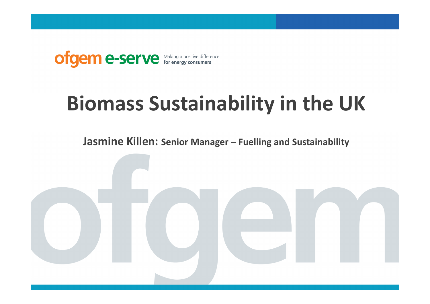

# **Biomass Sustainability in the UK**

**Jasmine Killen: Senior Manager – Fuelling and Sustainability**

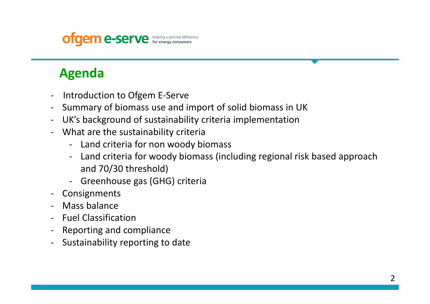## **ofgem e-serve** Making a positive difference

### **Agenda**

- -Introduction to Ofgem E-Serve
- -Summary of biomass use and import of solid biomass in UK
- -UK's background of sustainability criteria implementation
- What are the sustainability criteria
	- -Land criteria for non woody biomass
	- - Land criteria for woody biomass (including regional risk based approach and 70/30 threshold)
	- -Greenhouse gas (GHG) criteria
- Consignments
- Mass balance
- -Fuel Classification
- Reporting and compliance
- -Sustainability reporting to date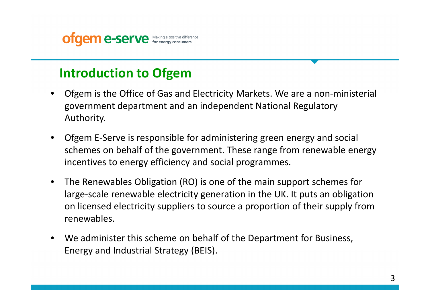

### **Introduction to Ofgem**

- Ofgem is the Office of Gas and Electricity Markets. We are a non-ministerial •government department and an independent National Regulatory Authority.
- $\bullet$  Ofgem E-Serve is responsible for administering green energy and social schemes on behalf of the government. These range from renewable energy incentives to energy efficiency and social programmes.
- $\bullet$  The Renewables Obligation (RO) is one of the main support schemes for large-scale renewable electricity generation in the UK. It puts an obligation on licensed electricity suppliers to source a proportion of their supply from renewables.
- $\bullet$  We administer this scheme on behalf of the Department for Business, Energy and Industrial Strategy (BEIS).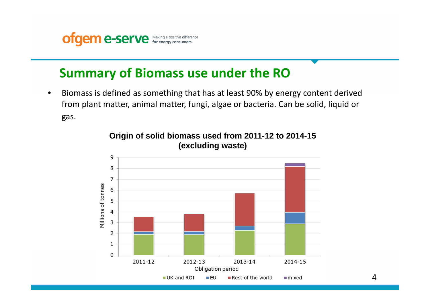

### **Summary of Biomass use under the RO**

• Biomass is defined as something that has at least 90% by energy content derived from plant matter, animal matter, fungi, algae or bacteria. Can be solid, liquid or gas.



#### **Origin of solid biomass used from 2011-12 to 2014-15 (excluding waste)**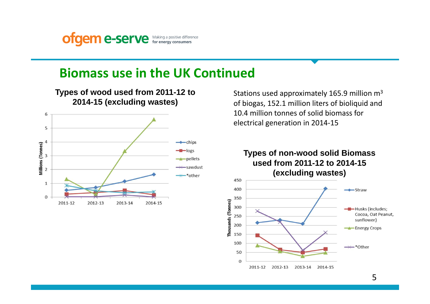**ofgem e-serve** Making a positive difference

### **Biomass use in the UK Continued**



Stations used approximately 165.9 million m<sup>3</sup> of biogas, 152.1 million liters of bioliquid and 10.4 million tonnes of solid biomass for electrical generation in 2014-15

**Types of non-wood solid Biomass used from 2011-12 to 2014-15 (excluding wastes)**

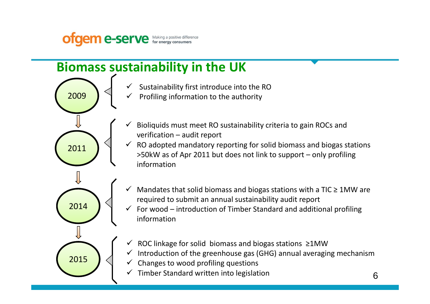

### **Biomass sustainability in the UK**

- ✓ Sustainability first introduce into the RO
- ✓ Profiling information to the authority
- ✓ Bioliquids must meet RO sustainability criteria to gain ROCs and verification – audit report
- $\checkmark$  RO adopted mandatory reporting for solid biomass and biogas stations >50kW as of Apr 2011 but does not link to support – only profiling information



2009

2011

- $\checkmark$ Mandates that solid biomass and biogas stations with a TIC  $\geq$  1MW are required to submit an annual sustainability audit report
- $\checkmark$  For wood introduction of Timber Standard and additional profiling ✓ information
- ✓ ROC linkage for solid biomass and biogas stations ≥1MW
- $\checkmark$  Introduction of the greenhouse gas (GHG) annual averaging mechanism
- $\checkmark$  Changes to wood profiling questions
- $\checkmark$  Timber Standard written into legislation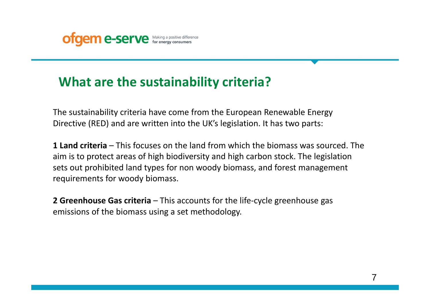

### **What are the sustainability criteria?**

The sustainability criteria have come from the European Renewable Energy Directive (RED) and are written into the UK's legislation. It has two parts:

**1 Land criteria** – This focuses on the land from which the biomass was sourced. The aim is to protect areas of high biodiversity and high carbon stock. The legislation sets out prohibited land types for non woody biomass, and forest management requirements for woody biomass.

**2 Greenhouse Gas criteria** – This accounts for the life-cycle greenhouse gas emissions of the biomass using a set methodology.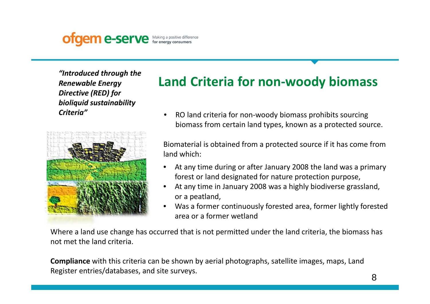

*"Introduced through the Renewable Energy Directive (RED) for bioliquid sustainability Criteria"*



## **Land Criteria for non-woody biomass**

• RO land criteria for non-woody biomass prohibits sourcing biomass from certain land types, known as a protected source.

Biomaterial is obtained from a protected source if it has come from land which:

- • At any time during or after January 2008 the land was a primary forest or land designated for nature protection purpose,
- • At any time in January 2008 was a highly biodiverse grassland, or a peatland,
- $\bullet$  Was a former continuously forested area, former lightly forested area or a former wetland

Where a land use change has occurred that is not permitted under the land criteria, the biomass has not met the land criteria.

**Compliance** with this criteria can be shown by aerial photographs, satellite images, maps, Land Register entries/databases, and site surveys.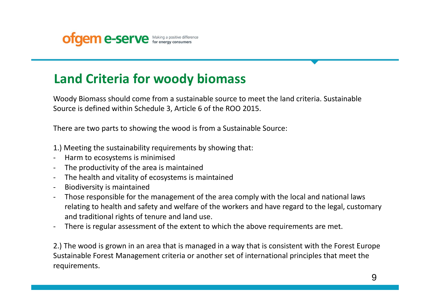

### **Land Criteria for woody biomass**

Woody Biomass should come from a sustainable source to meet the land criteria. Sustainable Source is defined within Schedule 3, Article 6 of the ROO 2015.

There are two parts to showing the wood is from a Sustainable Source:

- 1.) Meeting the sustainability requirements by showing that:
- -Harm to ecosystems is minimised
- -The productivity of the area is maintained
- $\blacksquare$ The health and vitality of ecosystems is maintaine d
- -Biodiversity is maintained
- Those responsible for the management of the area comply with the local and national laws relating to health and safety and welfare of the workers and have regard to the legal, customary and traditional rights of tenure and land use.
- -There is regular assessment of the extent to which the above requirements are met.

2.) The wood is grown in an area that is managed in a way that is consistent with the Forest Europe Sustainable Forest Management criteria or another set of international principles that meet the requirements.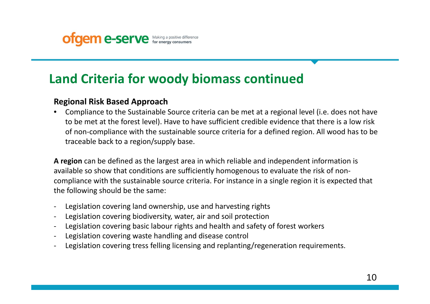

### **Land Criteria for woody biomass continued**

### **Regional Risk Based Approach**

 • Compliance to the Sustainable Source criteria can be met at a regional level (i.e. does not have to be met at the forest level). Have to have sufficient credible evidence that there is a low risk of non-compliance with the sustainable source criteria for a defined region. All wood has to be traceable back to a region/supply base.

**A region** can be defined as the largest area in which reliable and independent information is available so show that conditions are sufficiently homogenous to evaluate the risk of noncompliance with the sustainable source criteria. For instance in a single region it is expected that the following should be the same:

- Legislation covering land ownership, use and harvesting rights
- Legislation covering biodiversity, water, air and soil protection
- Legislation covering basic labour rights and health and safety of forest workers
- Legislation covering waste handling and disease control
- Legislation covering tress felling licensing and replanting/regeneration requirements.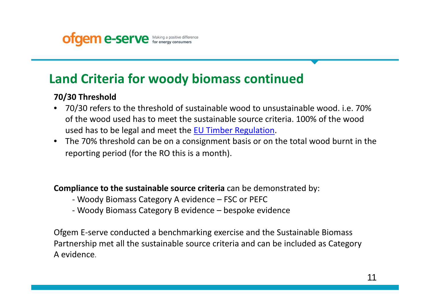

### **Land Criteria for woody biomass continued**

### **70/30 Threshold**

- 70/30 refers to the threshold of sustainable wood to unsustainable wood. i.e. 70% of the wood used has to meet the sustainable source criteria. 100% of the wood used has to be legal and meet the **EU Timber Regulation**.
- The 70% threshold can be on a consignment basis or on the total wood burnt in the reporting period (for the RO this is a month).

### **Compliance to the sustainable source criteria** can be demonstrated by:

- Woody Biomass Category A evidence FSC or PEFC
- Woody Biomass Category B evidence bespoke evidenc e

Ofgem E-serve conducted a benchmarking exercise and the Sustainable Biomass Partnership met all the sustainable source criteria and can be included as Category A evidence.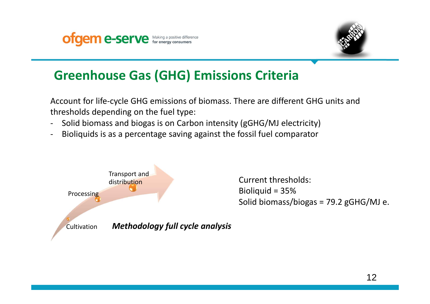



### **Greenhouse Gas (GHG) Emissions Criteria**

Account for life-cycle GHG emissions of biomass. There are different GHG units and thresholds depending on the fuel type:

- -Solid biomass and biogas is on Carbon intensity (gGHG/MJ electricity)
- -Bioliquids is as a percentage saving against the fossil fuel comparator

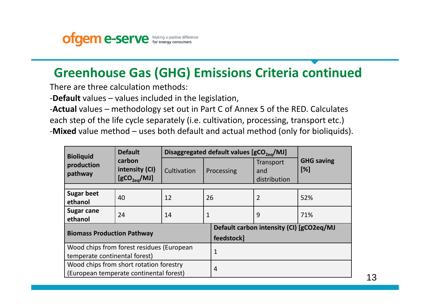

### **Greenhouse Gas (GHG) Emissions Criteria continued**

There are three calculation methods:

-**Default** values – values included in the legislation,

-**Actual** values – methodology set out in Part C of Annex 5 of the RED. Calculates each step of the life cycle separately (i.e. cultivation, processing, transport etc.)-**Mixed** value method – uses both default and actual method (only for bioliquids).

| <b>Bioliquid</b>                        | <b>Default</b><br>carbon<br>intensity (CI)<br>[gCO <sub>2ea</sub> /MJ] | Disaggregated default values $[gCO_{2e0}/MJ]$ |    |                                          |                                  |                             |  |  |
|-----------------------------------------|------------------------------------------------------------------------|-----------------------------------------------|----|------------------------------------------|----------------------------------|-----------------------------|--|--|
| production<br>pathway                   |                                                                        | Cultivation                                   |    | Processing                               | Transport<br>and<br>distribution | <b>GHG saving</b><br>$[\%]$ |  |  |
|                                         |                                                                        |                                               |    |                                          |                                  |                             |  |  |
| <b>Sugar beet</b>                       | 40                                                                     | 12                                            | 26 |                                          | $\overline{2}$                   | 52%                         |  |  |
| ethanol                                 |                                                                        |                                               |    |                                          |                                  |                             |  |  |
| <b>Sugar cane</b>                       | 24                                                                     |                                               |    |                                          |                                  | 71%                         |  |  |
| ethanol                                 |                                                                        | 14                                            | 1  |                                          | 9                                |                             |  |  |
| <b>Biomass Production Pathway</b>       |                                                                        |                                               |    | Default carbon intensity (CI) [gCO2eq/MJ |                                  |                             |  |  |
|                                         |                                                                        |                                               |    | feedstock]                               |                                  |                             |  |  |
|                                         | Wood chips from forest residues (European                              |                                               |    |                                          |                                  |                             |  |  |
| temperate continental forest)           |                                                                        |                                               |    | $\overline{1}$                           |                                  |                             |  |  |
| Wood chips from short rotation forestry |                                                                        |                                               |    |                                          |                                  |                             |  |  |
|                                         | 4<br>(European temperate continental forest)                           |                                               |    |                                          |                                  |                             |  |  |

13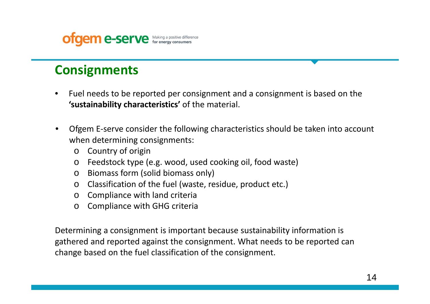

### **Consignments**

- • Fuel needs to be reported per consignment and a consignment is based on the **'sustainability characteristics'** of the material.
- • Ofgem E-serve consider the following characteristics should be taken into account when determining consignments:
	- o Country of origin
	- oFeedstock type (e.g. wood, used cooking oil, food waste)
	- o Biomass form (solid biomass only)
	- o Classification of the fuel (waste, residue, product etc.)
	- o Compliance with land criteria
	- o Compliance with GHG criteria

Determining a consignment is important because sustainability information is gathered and reported against the consignment. What needs to be reported can change based on the fuel classification of the consignment.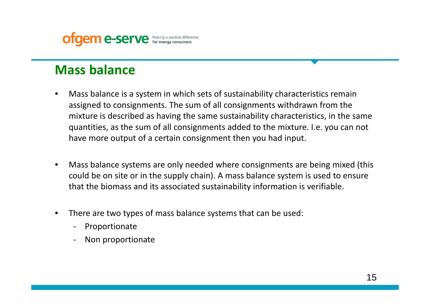

### **Mass balance**

- • Mass balance is a system in which sets of sustainability characteristics remain assigned to consignments. The sum of all consignments withdrawn from the mixture is described as having the same sustainability characteristics, in the same quantities, as the sum of all consignments added to the mixture. I.e. you can not have more output of a certain consignment then you had input.
- • Mass balance systems are only needed where consignments are being mixed (this could be on site or in the supply chain). A mass balance system is used to ensure that the biomass and its associated sustainability information is verifiable.
- • There are two types of mass balance systems that can be used:
	- -Proportionate
	- -Non proportionate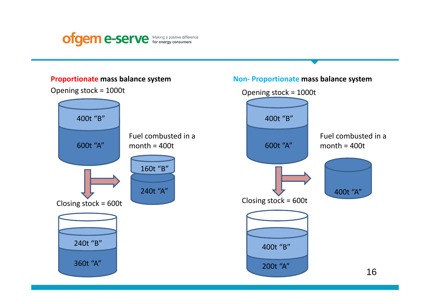

#### **Proportionate mass balance system**

Opening stock = 1000t



#### **Non- Proportionate mass balance system**

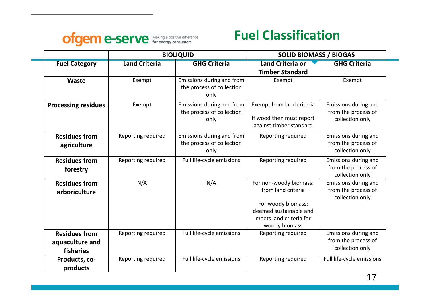

### **Fuel Classification**

|                                                      |                      | <b>BIOLIQUID</b>                                               | <b>SOLID BIOMASS / BIOGAS</b>                                                                                                            |                                                                |  |
|------------------------------------------------------|----------------------|----------------------------------------------------------------|------------------------------------------------------------------------------------------------------------------------------------------|----------------------------------------------------------------|--|
| <b>Fuel Category</b>                                 | <b>Land Criteria</b> | <b>GHG Criteria</b>                                            | <b>Land Criteria or</b><br><b>Timber Standard</b>                                                                                        | <b>GHG Criteria</b>                                            |  |
| Waste                                                | Exempt               | Emissions during and from<br>the process of collection<br>only | Exempt                                                                                                                                   | Exempt                                                         |  |
| <b>Processing residues</b>                           | Exempt               | Emissions during and from<br>the process of collection<br>only | Exempt from land criteria<br>If wood then must report<br>against timber standard                                                         | Emissions during and<br>from the process of<br>collection only |  |
| <b>Residues from</b><br>agriculture                  | Reporting required   | Emissions during and from<br>the process of collection<br>only | Reporting required                                                                                                                       | Emissions during and<br>from the process of<br>collection only |  |
| <b>Residues from</b><br>forestry                     | Reporting required   | Full life-cycle emissions                                      | Reporting required                                                                                                                       | Emissions during and<br>from the process of<br>collection only |  |
| <b>Residues from</b><br>arboriculture                | N/A                  | N/A                                                            | For non-woody biomass:<br>from land criteria<br>For woody biomass:<br>deemed sustainable and<br>meets land criteria for<br>woody biomass | Emissions during and<br>from the process of<br>collection only |  |
| <b>Residues from</b><br>aquaculture and<br>fisheries | Reporting required   | Full life-cycle emissions                                      | Reporting required                                                                                                                       | Emissions during and<br>from the process of<br>collection only |  |
| Products, co-<br>products                            | Reporting required   | Full life-cycle emissions                                      | Reporting required                                                                                                                       | Full life-cycle emissions                                      |  |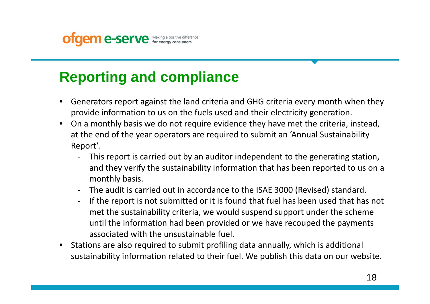

# **Reporting and compliance**

- • Generators report against the land criteria and GHG criteria every month when they provide information to us on the fuels used and their electricity generation.
- • On a monthly basis we do not require evidence they have met the criteria, instead, at the end of the year operators are required to submit an 'Annual Sustainability Report'.
	- $\blacksquare$  This report is carried out by an auditor independent to the generating station, and they verify the sustainability information that has been reported to us on a monthly basis.
	- The audit is carried out in accordance to the ISAE 3000 (Revised) standard.
	- If the report is not submitted or it is found that fuel has been used that has not met the sustainability criteria, we would suspend support under the scheme until the information had been provided or we have recouped the payments associated with the unsustainable fuel.
- • Stations are also required to submit profiling data annually, which is additional sustainability information related to their fuel. We publish this data on our website.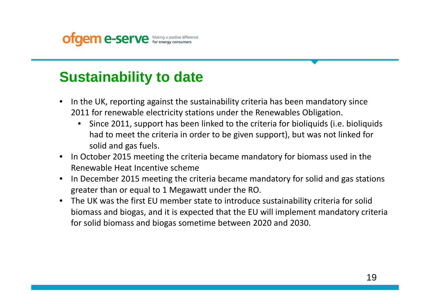

# **Sustainability to date**

- • In the UK, reporting against the sustainability criteria has been mandatory since 2011 for renewable electricity stations under the Renewables Obligation.
	- • Since 2011, support has been linked to the criteria for bioliquids (i.e. bioliquids had to meet the criteria in order to be given support), but was not linked for solid and gas fuels.
- $\bullet$  In October 2015 meeting the criteria became mandatory for biomass used in the Renewable Heat Incentive scheme
- In December 2015 meeting the criteria became mandatory for solid and gas stations •greater than or equal to 1 Megawatt under the RO.
- $\bullet$  The UK was the first EU member state to introduce sustainability criteria for solid biomass and biogas, and it is expected that the EU will implement mandatory criteria for solid biomass and biogas sometime between 2020 and 2030.